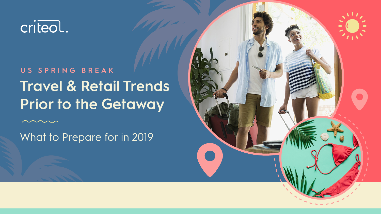

# **US SPRING BREAK Travel & Retail Trends Prior to the Getaway**

What to Prepare for in 2019

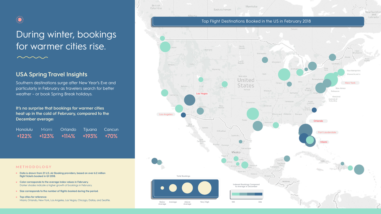

## During winter, bookings for warmer cities rise.

## **USA Spring Travel Insights**

Southern destinations surge after New Year's Eve and particularly in February as travelers search for better weather - or book Spring Break holidays.

It's no surprise that bookings for warmer cities heat up in the cold of February, compared to the December average:

Honolulu Tijuana Cancun Miami Orlando  $+122%$ +123%  $+114%$ +193% +70%

### METHODOLOGY

- Data is drawn from 21 U.S. Air Booking providers, based on over 6.2 million flight tickets booked in Q1 2018.
- Color corresponds to the average index values in February. Darker shades indicate a higher growth of bookings in February.
- Size corresponds to the number of flights booked during the period.
- Top cities for reference: Miami, Orlando, New York, Los Angeles, Las Vegas, Chicago, Dallas, and Seattle.







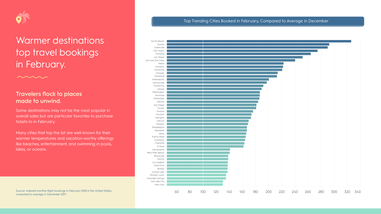

## Warmer destinations top travel bookings in February.

## **Travelers flock to places made to unwind.**

Some destinations may not be the most popular in overall sales but are particular favorites to purchase tickets to in February.

Many cities that top the list are well-known for their warmer temperatures and vacation-worthy offerings like beaches, entertainment, and swimming in pools, lakes, or oceans.





**CONTRACTOR** 



Indianapolis Jacksonville Monterrey Tampa Washington **Montreal** Milwaukee Kahului San Diego Tucson Toronto Houston Memphis Cancun Phoenix Philadelphia Aguadilla Reno Puerto Plata Columbus Charlotte El Paso Sacramento West Palm Beach Pensacola Detroit Los Angeles Santa Ana Boston Summit Lake Windsor Locks Colorado Springs Salt Lake City New York

### Top Trending Cities Booked in February, Compared to Average in December

Source: Indexed monthly flight bookings in February 2018 in the United States, compared to average in December 2017.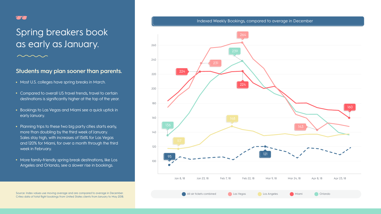

## Spring breakers book as early as January.

### **Students may plan sooner than parents.**

- Most U.S. colleges have spring breaks in March.
- Compared to overall US travel trends, travel to certain destinations is significantly higher at the top of the year.
- Bookings to Las Vegas and Miami see a quick uptick in early January.
- Planning trips to these two big party cities starts early, more than doubling by the third week of January. Sales stay high, with increases of 156% for Las Vegas and 120% for Miami, for over a month through the third week in February.
- More family-friendly spring break destinations, like Los Angeles and Orlando, see a slower rise in bookings.



Criteo data of total flight bookings from United States clients from January to May 2018.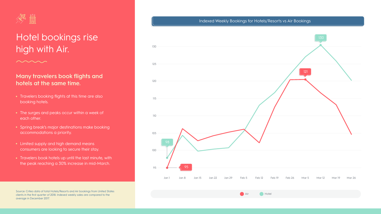

## Hotel bookings rise high with Air.

## **Many travelers book flights and hotels at the same time.**

- Travelers booking flights at this time are also booking hotels.
- The surges and peaks occur within a week of each other.
- Spring break's major destinations make booking accommodations a priority.
- Limited supply and high demand means consumers are looking to secure their stay.
- Travelers book hotels up until the last minute, with the peak reaching a 30% increase in mid-March.



Source: Criteo data of total Hotels/Resorts and Air bookings from United States clients in the first quarter of 2018. Indexed weekly sales are compared to the average in December 2017.